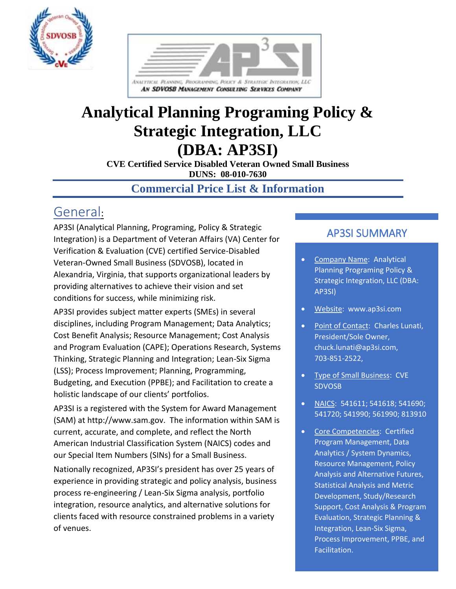



# **Analytical Planning Programing Policy & Strategic Integration, LLC (DBA: AP3SI)**

**CVE Certified Service Disabled Veteran Owned Small Business DUNS: 08-010-7630**

### **Commercial Price List & Information**

## General:

AP3SI (Analytical Planning, Programing, Policy & Strategic Integration) is a Department of Veteran Affairs (VA) Center for Verification & Evaluation (CVE) certified Service-Disabled Veteran-Owned Small Business (SDVOSB), located in Alexandria, Virginia, that supports organizational leaders by providing alternatives to achieve their vision and set conditions for success, while minimizing risk.

AP3SI provides subject matter experts (SMEs) in several disciplines, including Program Management; Data Analytics; Cost Benefit Analysis; Resource Management; Cost Analysis and Program Evaluation (CAPE); Operations Research, Systems Thinking, Strategic Planning and Integration; Lean-Six Sigma (LSS); Process Improvement; Planning, Programming, Budgeting, and Execution (PPBE); and Facilitation to create a holistic landscape of our clients' portfolios.

AP3SI is a registered with the System for Award Management (SAM) at http://www.sam.gov. The information within SAM is current, accurate, and complete, and reflect the North American Industrial Classification System (NAICS) codes and our Special Item Numbers (SINs) for a Small Business.

Nationally recognized, AP3SI's president has over 25 years of experience in providing strategic and policy analysis, business process re-engineering / Lean-Six Sigma analysis, portfolio integration, resource analytics, and alternative solutions for clients faced with resource constrained problems in a variety of venues.

### AP3SI SUMMARY

- Company Name: Analytical Planning Programing Policy & Strategic Integration, LLC (DBA: AP3SI)
- Website: www.ap3si.com
- Point of Contact: Charles Lunati, President/Sole Owner, chuck.lunati@ap3si.com, 703-851-2522,
- Type of Small Business: CVE SDVOSB
- NAICS: 541611; 541618; 541690; 541720; 541990; 561990; 813910
- Core Competencies: Certified Program Management, Data Analytics / System Dynamics, Resource Management, Policy Analysis and Alternative Futures, Statistical Analysis and Metric Development, Study/Research Support, Cost Analysis & Program Evaluation, Strategic Planning & Integration, Lean-Six Sigma, Process Improvement, PPBE, and Facilitation.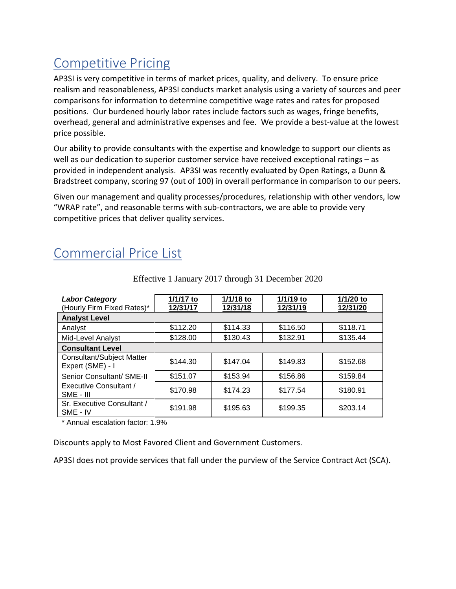## Competitive Pricing

AP3SI is very competitive in terms of market prices, quality, and delivery. To ensure price realism and reasonableness, AP3SI conducts market analysis using a variety of sources and peer comparisons for information to determine competitive wage rates and rates for proposed positions. Our burdened hourly labor rates include factors such as wages, fringe benefits, overhead, general and administrative expenses and fee. We provide a best-value at the lowest price possible.

Our ability to provide consultants with the expertise and knowledge to support our clients as well as our dedication to superior customer service have received exceptional ratings – as provided in independent analysis. AP3SI was recently evaluated by Open Ratings, a Dunn & Bradstreet company, scoring 97 (out of 100) in overall performance in comparison to our peers.

Given our management and quality processes/procedures, relationship with other vendors, low "WRAP rate", and reasonable terms with sub-contractors, we are able to provide very competitive prices that deliver quality services.

## Commercial Price List

| <b>Labor Category</b><br>(Hourly Firm Fixed Rates)*  | 1/1/17 to<br>12/31/17 | $1/1/18$ to<br>12/31/18 | 1/1/19 to<br>12/31/19 | 1/1/20 to<br>12/31/20 |
|------------------------------------------------------|-----------------------|-------------------------|-----------------------|-----------------------|
| <b>Analyst Level</b>                                 |                       |                         |                       |                       |
| Analyst                                              | \$112.20              | \$114.33                | \$116.50              | \$118.71              |
| Mid-Level Analyst                                    | \$128.00              | \$130.43                | \$132.91              | \$135.44              |
| <b>Consultant Level</b>                              |                       |                         |                       |                       |
| <b>Consultant/Subject Matter</b><br>Expert (SME) - I | \$144.30              | \$147.04                | \$149.83              | \$152.68              |
| Senior Consultant/ SME-II                            | \$151.07              | \$153.94                | \$156.86              | \$159.84              |
| Executive Consultant /<br>SME - III                  | \$170.98              | \$174.23                | \$177.54              | \$180.91              |
| Sr. Executive Consultant /<br>SME - IV               | \$191.98              | \$195.63                | \$199.35              | \$203.14              |

Effective 1 January 2017 through 31 December 2020

\* Annual escalation factor: 1.9%

Discounts apply to Most Favored Client and Government Customers.

AP3SI does not provide services that fall under the purview of the Service Contract Act (SCA).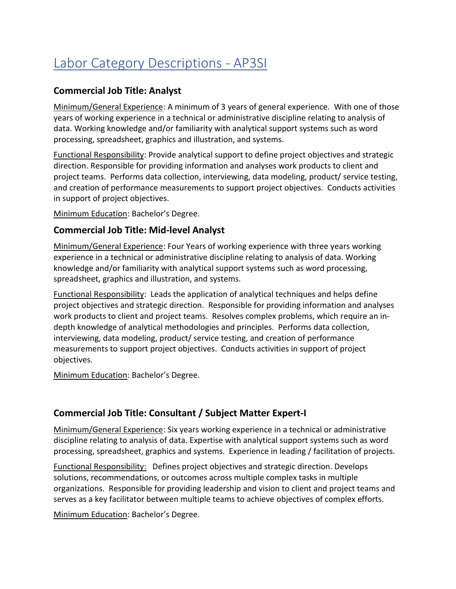# Labor Category Descriptions - AP3SI

#### **Commercial Job Title: Analyst**

Minimum/General Experience: A minimum of 3 years of general experience. With one of those years of working experience in a technical or administrative discipline relating to analysis of data. Working knowledge and/or familiarity with analytical support systems such as word processing, spreadsheet, graphics and illustration, and systems.

Functional Responsibility: Provide analytical support to define project objectives and strategic direction. Responsible for providing information and analyses work products to client and project teams. Performs data collection, interviewing, data modeling, product/ service testing, and creation of performance measurements to support project objectives. Conducts activities in support of project objectives.

Minimum Education: Bachelor's Degree.

#### **Commercial Job Title: Mid-level Analyst**

Minimum/General Experience: Four Years of working experience with three years working experience in a technical or administrative discipline relating to analysis of data. Working knowledge and/or familiarity with analytical support systems such as word processing, spreadsheet, graphics and illustration, and systems.

Functional Responsibility: Leads the application of analytical techniques and helps define project objectives and strategic direction. Responsible for providing information and analyses work products to client and project teams. Resolves complex problems, which require an in‐ depth knowledge of analytical methodologies and principles. Performs data collection, interviewing, data modeling, product/ service testing, and creation of performance measurements to support project objectives. Conducts activities in support of project objectives.

Minimum Education: Bachelor's Degree.

#### **Commercial Job Title: Consultant / Subject Matter Expert-I**

Minimum/General Experience: Six years working experience in a technical or administrative discipline relating to analysis of data. Expertise with analytical support systems such as word processing, spreadsheet, graphics and systems. Experience in leading / facilitation of projects.

Functional Responsibility: Defines project objectives and strategic direction. Develops solutions, recommendations, or outcomes across multiple complex tasks in multiple organizations. Responsible for providing leadership and vision to client and project teams and serves as a key facilitator between multiple teams to achieve objectives of complex efforts.

Minimum Education: Bachelor's Degree.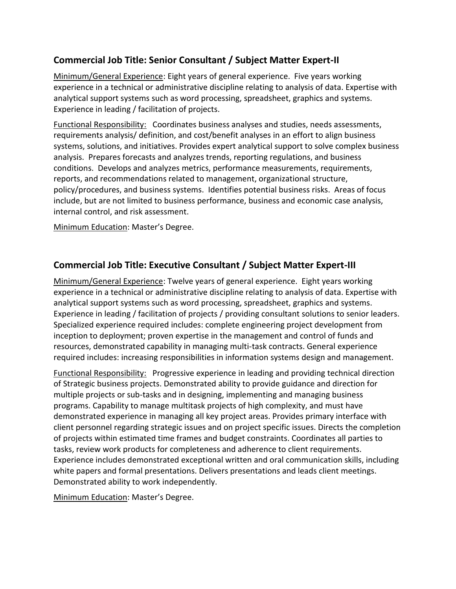#### **Commercial Job Title: Senior Consultant / Subject Matter Expert-II**

Minimum/General Experience: Eight years of general experience. Five years working experience in a technical or administrative discipline relating to analysis of data. Expertise with analytical support systems such as word processing, spreadsheet, graphics and systems. Experience in leading / facilitation of projects.

Functional Responsibility: Coordinates business analyses and studies, needs assessments, requirements analysis/ definition, and cost/benefit analyses in an effort to align business systems, solutions, and initiatives. Provides expert analytical support to solve complex business analysis. Prepares forecasts and analyzes trends, reporting regulations, and business conditions. Develops and analyzes metrics, performance measurements, requirements, reports, and recommendations related to management, organizational structure, policy/procedures, and business systems. Identifies potential business risks. Areas of focus include, but are not limited to business performance, business and economic case analysis, internal control, and risk assessment.

Minimum Education: Master's Degree.

#### **Commercial Job Title: Executive Consultant / Subject Matter Expert-III**

Minimum/General Experience: Twelve years of general experience. Eight years working experience in a technical or administrative discipline relating to analysis of data. Expertise with analytical support systems such as word processing, spreadsheet, graphics and systems. Experience in leading / facilitation of projects / providing consultant solutions to senior leaders. Specialized experience required includes: complete engineering project development from inception to deployment; proven expertise in the management and control of funds and resources, demonstrated capability in managing multi-task contracts. General experience required includes: increasing responsibilities in information systems design and management.

Functional Responsibility: Progressive experience in leading and providing technical direction of Strategic business projects. Demonstrated ability to provide guidance and direction for multiple projects or sub-tasks and in designing, implementing and managing business programs. Capability to manage multitask projects of high complexity, and must have demonstrated experience in managing all key project areas. Provides primary interface with client personnel regarding strategic issues and on project specific issues. Directs the completion of projects within estimated time frames and budget constraints. Coordinates all parties to tasks, review work products for completeness and adherence to client requirements. Experience includes demonstrated exceptional written and oral communication skills, including white papers and formal presentations. Delivers presentations and leads client meetings. Demonstrated ability to work independently.

Minimum Education: Master's Degree.